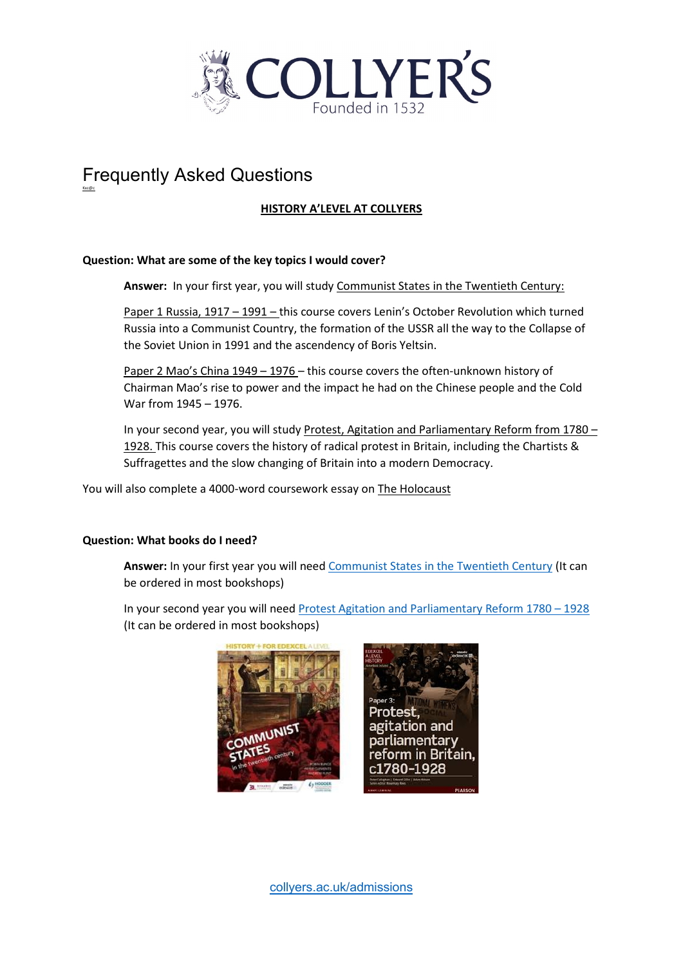

# Frequently Asked Questions

Kxc@c

# **HISTORY A'LEVEL AT COLLYERS**

## **Question: What are some of the key topics I would cover?**

Answer: In your first year, you will study Communist States in the Twentieth Century:

Paper 1 Russia, 1917 – 1991 – this course covers Lenin's October Revolution which turned Russia into a Communist Country, the formation of the USSR all the way to the Collapse of the Soviet Union in 1991 and the ascendency of Boris Yeltsin.

Paper 2 Mao's China 1949 – 1976 – this course covers the often-unknown history of Chairman Mao's rise to power and the impact he had on the Chinese people and the Cold War from 1945 – 1976.

In your second year, you will study Protest, Agitation and Parliamentary Reform from 1780 – 1928. This course covers the history of radical protest in Britain, including the Chartists & Suffragettes and the slow changing of Britain into a modern Democracy.

You will also complete a 4000-word coursework essay on The Holocaust

#### **Question: What books do I need?**

**Answer:** In your first year you will need [Communist States in the Twentieth Century](https://www.amazon.co.uk/History-Edexcel-Level-Communist-twentieth/dp/1471837912) (It can be ordered in most bookshops)

In your second year you will need [Protest Agitation and Parliamentary Reform 1780 –](https://123library.org/ebook/isbn/9781292185439/) 1928 (It can be ordered in most bookshops)



[collyers.ac.uk/admissions](http://www.collyers.ac.uk/admissions)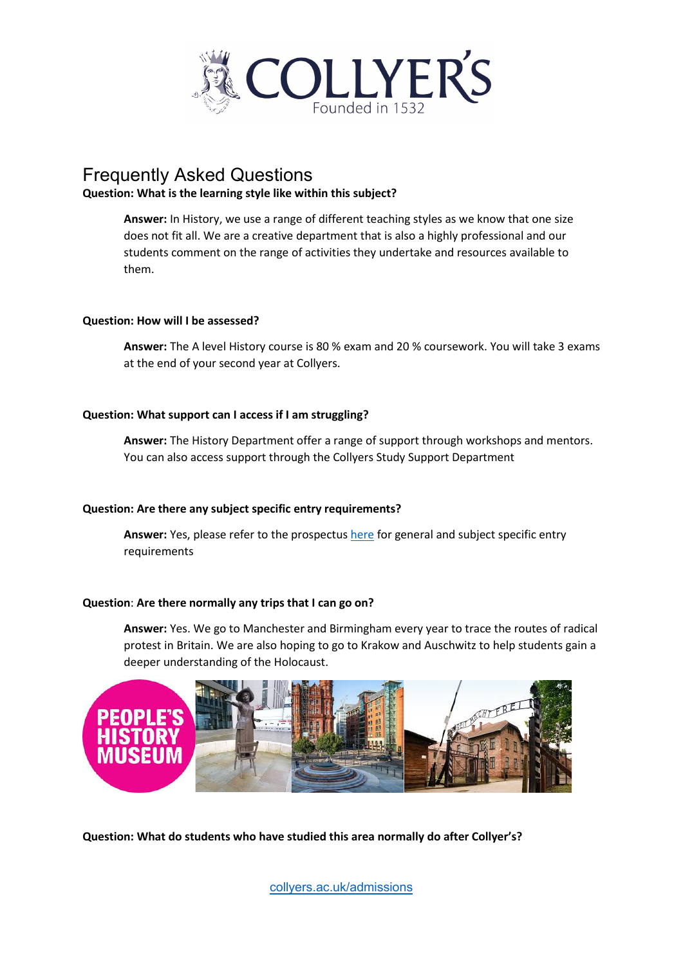

# Frequently Asked Questions

### **Question: What is the learning style like within this subject?**

**Answer:** In History, we use a range of different teaching styles as we know that one size does not fit all. We are a creative department that is also a highly professional and our students comment on the range of activities they undertake and resources available to them.

#### **Question: How will I be assessed?**

**Answer:** The A level History course is 80 % exam and 20 % coursework. You will take 3 exams at the end of your second year at Collyers.

### **Question: What support can I access if I am struggling?**

**Answer:** The History Department offer a range of support through workshops and mentors. You can also access support through the Collyers Study Support Department

## **Question: Are there any subject specific entry requirements?**

**Answer:** Yes, please refer to the prospectu[s here](https://www.collyers.ac.uk/collyers-college-prospectus-21/20/) for general and subject specific entry requirements

#### **Question**: **Are there normally any trips that I can go on?**

**Answer:** Yes. We go to Manchester and Birmingham every year to trace the routes of radical protest in Britain. We are also hoping to go to Krakow and Auschwitz to help students gain a deeper understanding of the Holocaust.



**Question: What do students who have studied this area normally do after Collyer's?**

[collyers.ac.uk/admissions](http://www.collyers.ac.uk/admissions)